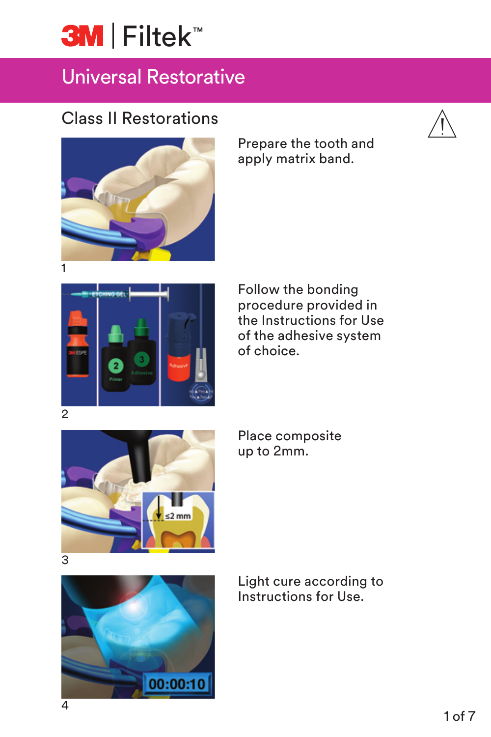# **3M** Filtek<sup>™</sup>

## Universal Restorative

#### Class II Restorations



Prepare the tooth and apply matrix band.



Follow the bonding procedure provided in the Instructions for Use of the adhesive system of choice.



Place composite up to 2mm.



Light cure according to Instructions for Use.

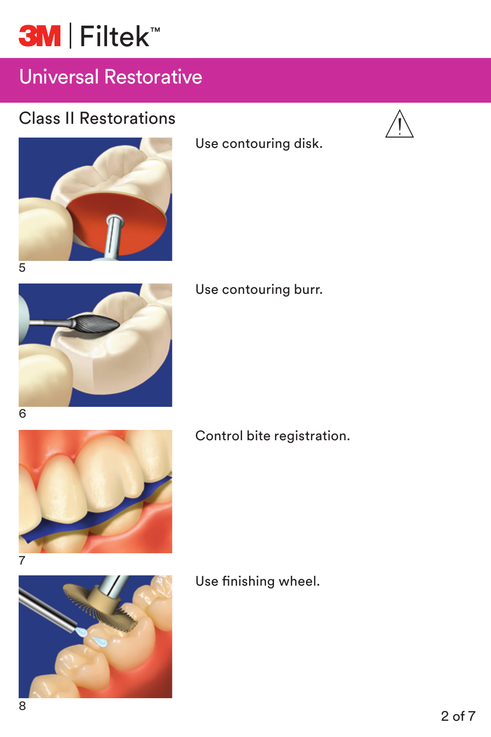

#### Class II Restorations





Use contouring disk.



#### Use contouring burr.

6



Control bite registration.



Use finishing wheel.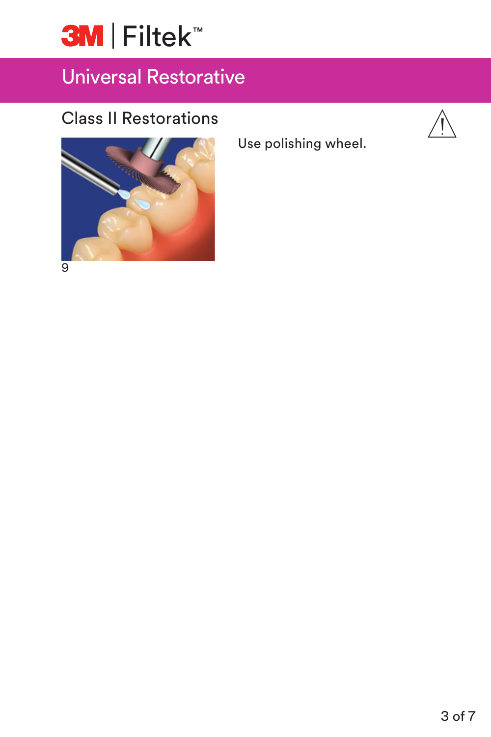

#### Class II Restorations



9

Use polishing wheel.

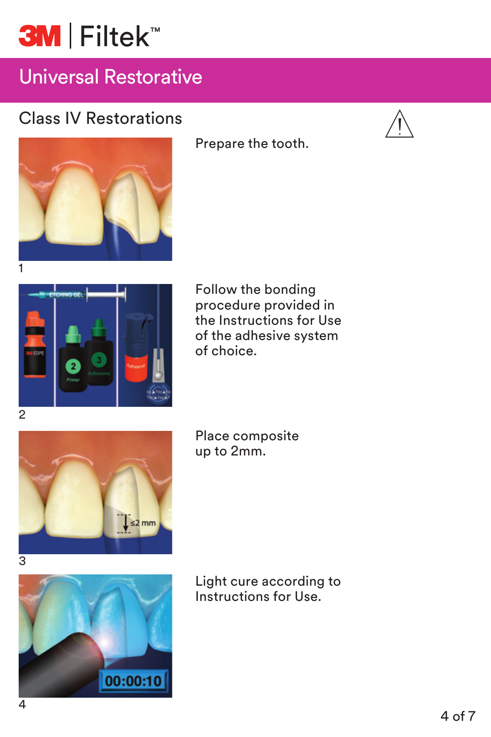

#### Class IV Restorations







Prepare the tooth.

Follow the bonding procedure provided in the Instructions for Use of the adhesive system of choice.





Place composite up to 2mm.



Light cure according to Instructions for Use.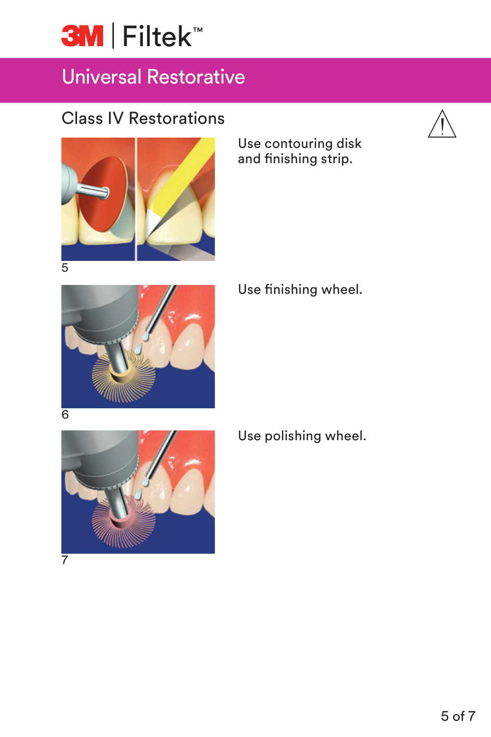

#### Class IV Restorations



Use contouring disk and finishing strip.



Use finishing wheel.



Use polishing wheel.

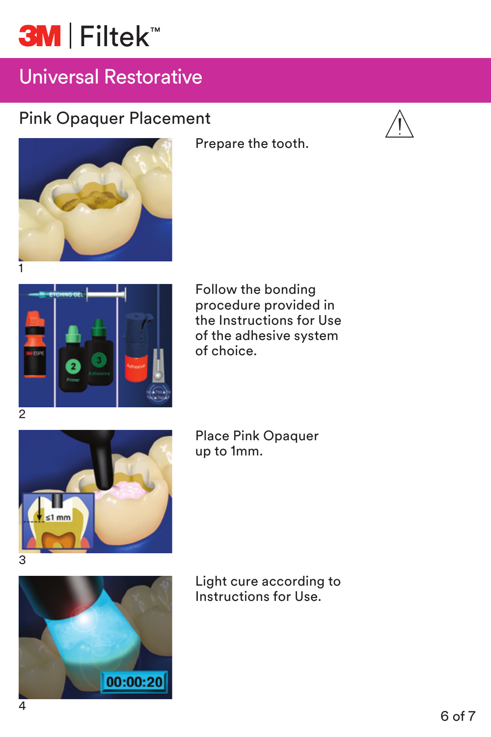## **3M** Filtek<sup>™</sup>

## Universal Restorative

### Pink Opaquer Placement







Prepare the tooth.

Follow the bonding procedure provided in the Instructions for Use of the adhesive system of choice.



Place Pink Opaquer up to 1mm.



Light cure according to Instructions for Use.